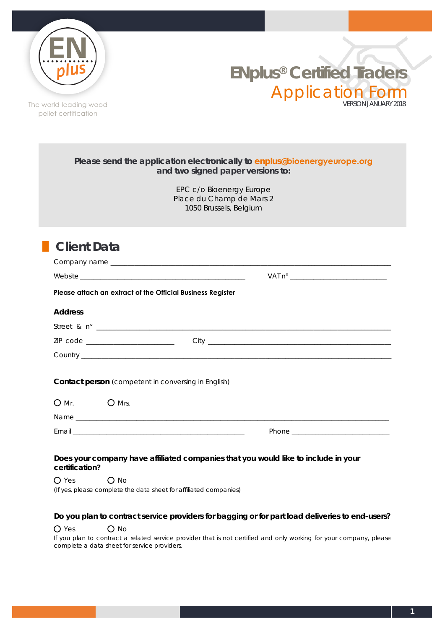



The world-leading wood pellet certification

|                                                                   | Please send the application electronically to enplus@bioenergyeurope.org<br>and two signed paper versions to: |
|-------------------------------------------------------------------|---------------------------------------------------------------------------------------------------------------|
|                                                                   | EPC c/o Bioenergy Europe<br>Place du Champ de Mars 2<br>1050 Brussels, Belgium                                |
| <b>Client Data</b>                                                |                                                                                                               |
|                                                                   |                                                                                                               |
|                                                                   |                                                                                                               |
| Please attach an extract of the Official Business Register        |                                                                                                               |
| <b>Address</b>                                                    |                                                                                                               |
|                                                                   |                                                                                                               |
|                                                                   |                                                                                                               |
|                                                                   | Country                                                                                                       |
| <b>Contact person</b> (competent in conversing in English)        |                                                                                                               |
| <b>O</b> Mrs.<br>$O$ Mr.                                          |                                                                                                               |
|                                                                   |                                                                                                               |
|                                                                   |                                                                                                               |
| certification?                                                    | Does your company have affiliated companies that you would like to include in your                            |
| $\bigcirc$ Yes<br>$\Omega$ No                                     |                                                                                                               |
| (If yes, please complete the data sheet for affiliated companies) |                                                                                                               |

## **Do you plan to contract service providers for bagging or for part load deliveries to end-users?**

## O Yes O No

If you plan to contract a related service provider that is not certified and only working for your company, please complete a data sheet for service providers.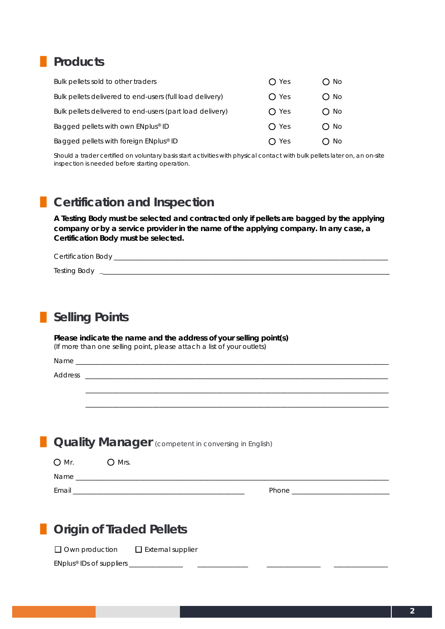# **█ Products**

| Bulk pellets sold to other traders                       | $\bigcap$ Yes  | O No          |
|----------------------------------------------------------|----------------|---------------|
| Bulk pellets delivered to end-users (full load delivery) | $\Omega$ Yes   | O No          |
| Bulk pellets delivered to end-users (part load delivery) | $\bigcirc$ Yes | $\bigcirc$ No |
| Bagged pellets with own ENplus® ID                       | $\bigcap$ Yes  | $\bigcirc$ No |
| Bagged pellets with foreign ENplus® ID                   | $\bigcap$ Yes  | O No          |

Should a trader certified on voluntary basis start activities with physical contact with bulk pellets later on, an on-site inspection is needed before starting operation.

## **█ Certification and Inspection**

**A Testing Body must be selected and contracted only if pellets are bagged by the applying company or by a service provider in the name of the applying company. In any case, a Certification Body must be selected.**

| <b>Certification Body</b> |  |  |  |
|---------------------------|--|--|--|
|                           |  |  |  |

Testing Body \_\_\_\_\_\_\_\_\_\_\_\_\_\_\_\_\_\_\_\_\_\_\_\_\_\_\_\_\_\_\_\_\_\_\_\_\_\_\_\_\_\_\_\_\_\_\_\_\_\_\_\_\_\_\_\_\_\_\_\_\_\_\_\_\_\_\_\_\_\_\_\_\_\_\_\_\_\_\_\_\_\_\_\_\_

| <b>Selling Points</b> |  |
|-----------------------|--|
|                       |  |

**Please indicate the name and the address of your selling point(s)** (If more than one selling point, please attach a list of your outlets)

Name \_\_\_\_\_\_\_\_\_\_\_\_\_\_\_\_\_\_\_\_\_\_\_\_\_\_\_\_\_\_\_\_\_\_\_\_\_\_\_\_\_\_\_\_\_\_\_\_\_\_\_\_\_\_\_\_\_\_\_\_\_\_\_\_\_\_\_\_\_\_\_\_\_\_\_\_\_\_\_\_\_\_\_\_\_\_\_\_\_\_\_\_\_

Address \_\_\_\_\_\_\_\_\_\_\_\_\_\_\_\_\_\_\_\_\_\_\_\_\_\_\_\_\_\_\_\_\_\_\_\_\_\_\_\_\_\_\_\_\_\_\_\_\_\_\_\_\_\_\_\_\_\_\_\_\_\_\_\_\_\_\_\_\_\_\_\_\_\_\_\_\_\_\_\_\_\_\_\_\_\_\_\_\_\_

**Quality Manager** (competent in conversing in English)

| $O$ Mr. | $O$ Mrs. |       |
|---------|----------|-------|
| Name    |          |       |
| Email   |          | Phone |

\_\_\_\_\_\_\_\_\_\_\_\_\_\_\_\_\_\_\_\_\_\_\_\_\_\_\_\_\_\_\_\_\_\_\_\_\_\_\_\_\_\_\_\_\_\_\_\_\_\_\_\_\_\_\_\_\_\_\_\_\_\_\_\_\_\_\_\_\_\_\_\_\_\_\_\_\_\_\_\_\_\_\_\_\_\_\_\_\_\_ \_\_\_\_\_\_\_\_\_\_\_\_\_\_\_\_\_\_\_\_\_\_\_\_\_\_\_\_\_\_\_\_\_\_\_\_\_\_\_\_\_\_\_\_\_\_\_\_\_\_\_\_\_\_\_\_\_\_\_\_\_\_\_\_\_\_\_\_\_\_\_\_\_\_\_\_\_\_\_\_\_\_\_\_\_\_\_\_\_\_

| <b>Origin of Traded Pellets</b> |  |  |
|---------------------------------|--|--|
|---------------------------------|--|--|

 $\Box$  Own production  $\Box$  External supplier

EN*plus*® IDs of suppliers \_\_\_\_\_\_\_\_\_\_\_\_\_\_\_\_ \_\_\_\_\_\_\_\_\_\_\_\_\_\_\_ \_\_\_\_\_\_\_\_\_\_\_\_\_\_\_\_ \_\_\_\_\_\_\_\_\_\_\_\_\_\_\_\_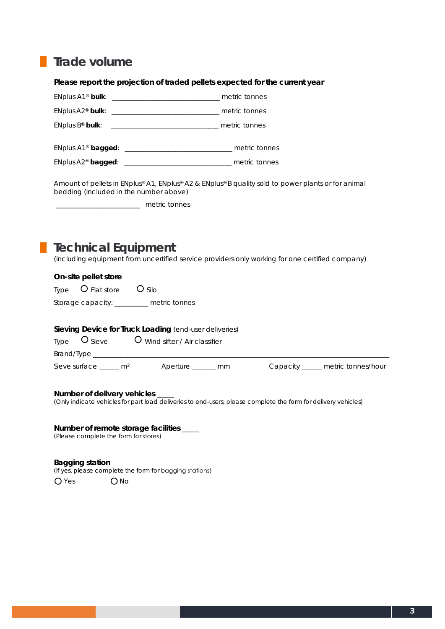# **█ Trade volume**

**Please report the projection of traded pellets expected for the current year**

|                                                                                                                       | ENplus B <sup>®</sup> bulk: <u>__________________________________</u> metric tonnes                                             |  |
|-----------------------------------------------------------------------------------------------------------------------|---------------------------------------------------------------------------------------------------------------------------------|--|
|                                                                                                                       |                                                                                                                                 |  |
|                                                                                                                       |                                                                                                                                 |  |
| bedding (included in the number above)<br>metric tonnes                                                               | Amount of pellets in ENplus® A1, ENplus® A2 & ENplus® B quality sold to power plants or for animal                              |  |
| <b>Technical Equipment</b><br>On-site pellet store                                                                    | (including equipment from uncertified service providers only working for one certified company)                                 |  |
| Type $\overline{O}$ Flat store $\overline{O}$ Silo                                                                    |                                                                                                                                 |  |
| Storage capacity: _______ metric tonnes                                                                               |                                                                                                                                 |  |
|                                                                                                                       | Sieving Device for Truck Loading (end-user deliveries)<br>Type $\overline{O}$ Sieve $\overline{O}$ Wind sifter / Air classifier |  |
|                                                                                                                       | Sieve surface $\frac{m^2}{2}$ Aperture $\frac{m^2}{2}$ mm Capacity $\frac{m}{2}$ metric tonnes/hour                             |  |
| Number of delivery vehicles ____<br>Number of remote storage facilities ____<br>(Please complete the form for stores) | (Only indicate vehicles for part load deliveries to end-users; please complete the form for delivery vehicles)                  |  |

**Bagging station**  (If yes, please complete the form for bagging stations)

O Yes O No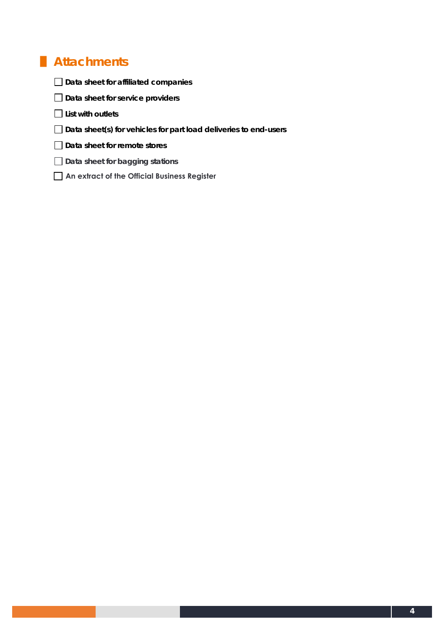# **█ Attachments**

- **Data sheet for affiliated companies**
- **Data sheet for service providers**
- **List with outlets**
- **Data sheet(s) for vehicles for part load deliveries to end-users**
- **Data sheet for remote stores**
- **Data sheet for bagging stations**
- **An extract of the Official Business Register**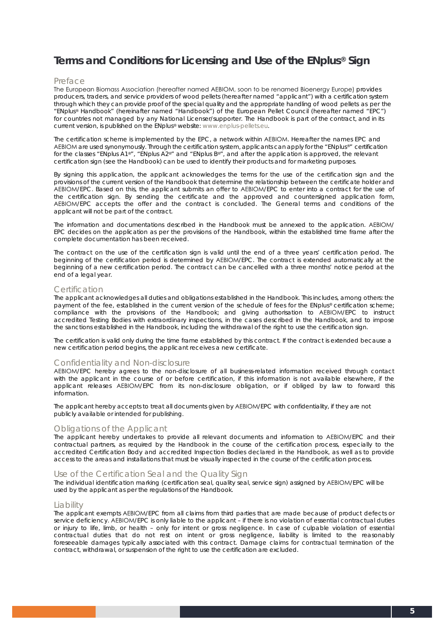## **Terms and Conditions for Licensing and Use of the EN***plus***® Sign**

#### Preface

The European Biomass Association (hereafter named AEBIOM, soon to be renamed Bioenergy Europe) provides producers, traders, and service providers of wood pellets (hereafter named "applicant") with a certification system through which they can provide proof of the special quality and the appropriate handling of wood pellets as per the "EN*plus*® Handbook" (hereinafter named "Handbook") of the European Pellet Council (hereafter named "EPC") for countries not managed by any National Licenser/supporter. The Handbook is part of the contract, and in its current version, is published on the EN*plus*® website: www.enplus-pellets.eu.

The certification scheme is implemented by the EPC, a network within AEBIOM. Hereafter the names EPC and AEBIOM are used synonymously. Through the certification system, applicants can apply for the "EN*plus®*" certification for the classes "EN*plus* A1®", "EN*plus* A2®" and "EN*plus* B®", and after the application is approved, the relevant certification sign (see the Handbook) can be used to identify their products and for marketing purposes.

By signing this application, the applicant acknowledges the terms for the use of the certification sign and the provisions of the current version of the Handbook that determine the relationship between the certificate holder and AEBIOM/EPC. Based on this, the applicant submits an offer to AEBIOM/EPC to enter into a contract for the use of the certification sign. By sending the certificate and the approved and countersigned application form, AEBIOM/EPC accepts the offer and the contract is concluded. The General terms and conditions of the applicant will not be part of the contract.

The information and documentations described in the Handbook must be annexed to the application. AEBIOM/ EPC decides on the application as per the provisions of the Handbook, within the established time frame after the complete documentation has been received.

The contract on the use of the certification sign is valid until the end of a three years' certification period. The beginning of the certification period is determined by AEBIOM/EPC. The contract is extended automatically at the beginning of a new certification period. The contract can be cancelled with a three months' notice period at the end of a legal year.

#### Certification

The applicant acknowledges all duties and obligations established in the Handbook. This includes, among others: the payment of the fee, established in the current version of the schedule of fees for the EN*plus*® certification scheme; compliance with the provisions of the Handbook; and giving authorisation to AEBIOM/EPC to instruct accredited Testing Bodies with extraordinary inspections, in the cases described in the Handbook, and to impose the sanctions established in the Handbook, including the withdrawal of the right to use the certification sign.

The certification is valid only during the time frame established by this contract. If the contract is extended because a new certification period begins, the applicant receives a new certificate.

#### Confidentiality and Non-disclosure

AEBIOM/EPC hereby agrees to the non-disclosure of all business-related information received through contact with the applicant in the course of or before certification, if this information is not available elsewhere, if the applicant releases AEBIOM/EPC from its non-disclosure obligation, or if obliged by law to forward this information.

The applicant hereby accepts to treat all documents given by AEBIOM/EPC with confidentiality, if they are not publicly available or intended for publishing.

#### Obligations of the Applicant

The applicant hereby undertakes to provide all relevant documents and information to AEBIOM/EPC and their contractual partners, as required by the Handbook in the course of the certification process, especially to the accredited Certification Body and accredited Inspection Bodies declared in the Handbook, as well as to provide access to the areas and installations that must be visually inspected in the course of the certification process.

## Use of the Certification Seal and the Quality Sign

The individual identification marking (certification seal, quality seal, service sign) assigned by AEBIOM/EPC will be used by the applicant as per the regulations of the Handbook.

#### **Liability**

The applicant exempts AEBIOM/EPC from all claims from third parties that are made because of product defects or service deficiency. AEBIOM/EPC is only liable to the applicant – if there is no violation of essential contractual duties or injury to life, limb, or health – only for intent or gross negligence. In case of culpable violation of essential contractual duties that do not rest on intent or gross negligence, liability is limited to the reasonably foreseeable damages typically associated with this contract. Damage claims for contractual termination of the contract, withdrawal, or suspension of the right to use the certification are excluded.